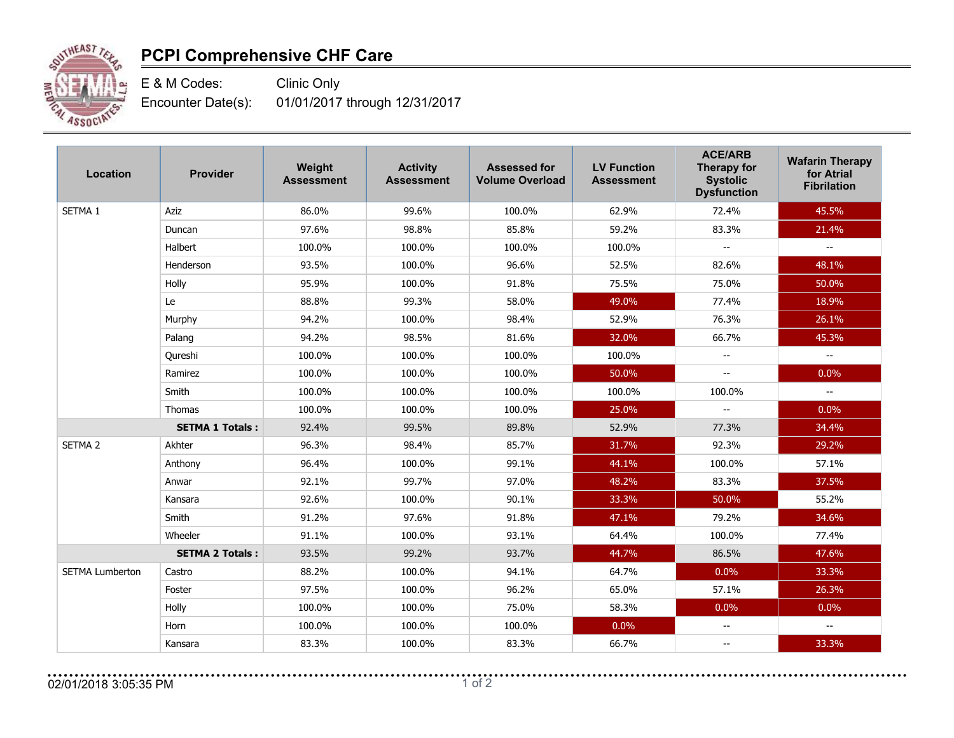

## **PCPI Comprehensive CHF Care**

E & M Codes: Clinic Only Encounter Date(s): 01/01/2017 through 12/31/2017

| <b>Location</b>        | <b>Provider</b>        | Weight<br><b>Assessment</b> | <b>Activity</b><br><b>Assessment</b> | <b>Assessed for</b><br><b>Volume Overload</b> | <b>LV Function</b><br><b>Assessment</b> | <b>ACE/ARB</b><br><b>Therapy for</b><br><b>Systolic</b><br><b>Dysfunction</b> | <b>Wafarin Therapy</b><br>for Atrial<br><b>Fibrilation</b> |
|------------------------|------------------------|-----------------------------|--------------------------------------|-----------------------------------------------|-----------------------------------------|-------------------------------------------------------------------------------|------------------------------------------------------------|
| SETMA <sub>1</sub>     | Aziz                   | 86.0%                       | 99.6%                                | 100.0%                                        | 62.9%                                   | 72.4%                                                                         | 45.5%                                                      |
|                        | Duncan                 | 97.6%                       | 98.8%                                | 85.8%                                         | 59.2%                                   | 83.3%                                                                         | 21.4%                                                      |
|                        | Halbert                | 100.0%                      | 100.0%                               | 100.0%                                        | 100.0%                                  | $\mathbf{u}$                                                                  | $\sim$                                                     |
|                        | Henderson              | 93.5%                       | 100.0%                               | 96.6%                                         | 52.5%                                   | 82.6%                                                                         | 48.1%                                                      |
|                        | Holly                  | 95.9%                       | 100.0%                               | 91.8%                                         | 75.5%                                   | 75.0%                                                                         | 50.0%                                                      |
|                        | Le                     | 88.8%                       | 99.3%                                | 58.0%                                         | 49.0%                                   | 77.4%                                                                         | 18.9%                                                      |
|                        | Murphy                 | 94.2%                       | 100.0%                               | 98.4%                                         | 52.9%                                   | 76.3%                                                                         | 26.1%                                                      |
|                        | Palang                 | 94.2%                       | 98.5%                                | 81.6%                                         | 32.0%                                   | 66.7%                                                                         | 45.3%                                                      |
|                        | Qureshi                | 100.0%                      | 100.0%                               | 100.0%                                        | 100.0%                                  | $\overline{\phantom{a}}$                                                      | $\sim$                                                     |
|                        | Ramirez                | 100.0%                      | 100.0%                               | 100.0%                                        | 50.0%                                   | $-$                                                                           | 0.0%                                                       |
|                        | Smith                  | 100.0%                      | 100.0%                               | 100.0%                                        | 100.0%                                  | 100.0%                                                                        | $\overline{\phantom{a}}$                                   |
|                        | <b>Thomas</b>          | 100.0%                      | 100.0%                               | 100.0%                                        | 25.0%                                   |                                                                               | 0.0%                                                       |
|                        | <b>SETMA 1 Totals:</b> | 92.4%                       | 99.5%                                | 89.8%                                         | 52.9%                                   | 77.3%                                                                         | 34.4%                                                      |
| SETMA <sub>2</sub>     | Akhter                 | 96.3%                       | 98.4%                                | 85.7%                                         | 31.7%                                   | 92.3%                                                                         | 29.2%                                                      |
|                        | Anthony                | 96.4%                       | 100.0%                               | 99.1%                                         | 44.1%                                   | 100.0%                                                                        | 57.1%                                                      |
|                        | Anwar                  | 92.1%                       | 99.7%                                | 97.0%                                         | 48.2%                                   | 83.3%                                                                         | 37.5%                                                      |
|                        | Kansara                | 92.6%                       | 100.0%                               | 90.1%                                         | 33.3%                                   | 50.0%                                                                         | 55.2%                                                      |
|                        | Smith                  | 91.2%                       | 97.6%                                | 91.8%                                         | 47.1%                                   | 79.2%                                                                         | 34.6%                                                      |
|                        | Wheeler                | 91.1%                       | 100.0%                               | 93.1%                                         | 64.4%                                   | 100.0%                                                                        | 77.4%                                                      |
|                        | <b>SETMA 2 Totals:</b> | 93.5%                       | 99.2%                                | 93.7%                                         | 44.7%                                   | 86.5%                                                                         | 47.6%                                                      |
| <b>SETMA Lumberton</b> | Castro                 | 88.2%                       | 100.0%                               | 94.1%                                         | 64.7%                                   | 0.0%                                                                          | 33.3%                                                      |
|                        | Foster                 | 97.5%                       | 100.0%                               | 96.2%                                         | 65.0%                                   | 57.1%                                                                         | 26.3%                                                      |
|                        | Holly                  | 100.0%                      | 100.0%                               | 75.0%                                         | 58.3%                                   | 0.0%                                                                          | 0.0%                                                       |
|                        | Horn                   | 100.0%                      | 100.0%                               | 100.0%                                        | 0.0%                                    |                                                                               |                                                            |
|                        | Kansara                | 83.3%                       | 100.0%                               | 83.3%                                         | 66.7%                                   | $\qquad \qquad -$                                                             | 33.3%                                                      |